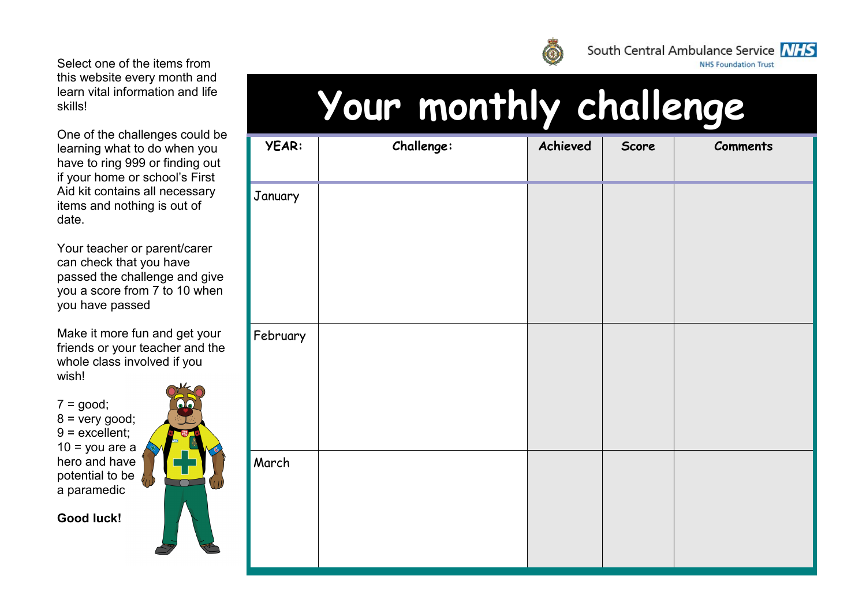One of the challenges could be learning what to do when you have to ring 999 or finding out if your home or school's First Aid kit contains all necessary items and nothing is out of date.

Your teacher or parent/carer can check that you have passed the challenge and give you a score from 7 to 10 when you have passed

Make it more fun and get your friends or your teacher and the whole class involved if you wish!

 $7 = \text{good}$ ;  $8 =$  very good; 9 = excellent;  $10 =$  you are a hero and have potential to be a paramedic

**Good luck!**



## **Your monthly challenge**

| YEAR:    | Challenge: | Achieved | Score | <b>Comments</b> |
|----------|------------|----------|-------|-----------------|
| January  |            |          |       |                 |
| February |            |          |       |                 |
| March    |            |          |       |                 |



South Central Ambulance Service NHS

**NHS Foundation Trust**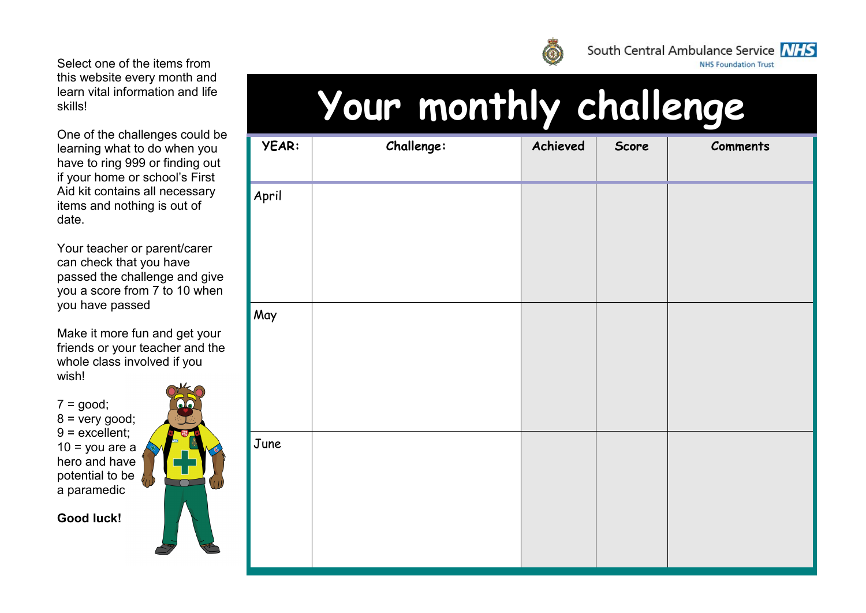One of the challenges could be learning what to do when you have to ring 999 or finding out if your home or school's First Aid kit contains all necessary items and nothing is out of date.

Your teacher or parent/carer can check that you have passed the challenge and give you a score from 7 to 10 when you have passed

Make it more fun and get your friends or your teacher and the whole class involved if you wish!

 $7 = \text{good}$ ;  $8 =$  very good; 9 = excellent;  $10 =$  you are a hero and have potential to be a paramedic

**Good luck!**





South Central Ambulance Service NHS

**NHS Foundation Trust** 

| <b>YEAR:</b> | Challenge: | Achieved | Score | <b>Comments</b> |
|--------------|------------|----------|-------|-----------------|
| April        |            |          |       |                 |
| May          |            |          |       |                 |
| June         |            |          |       |                 |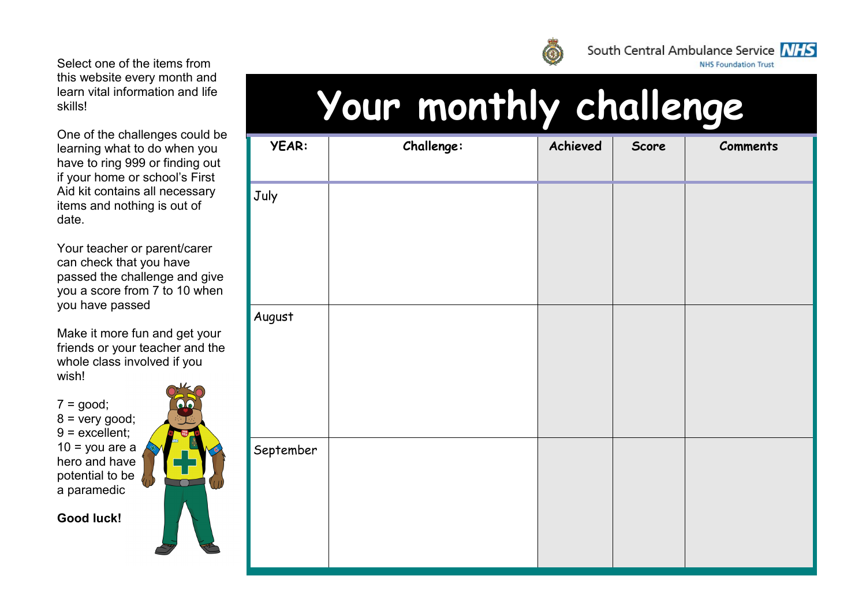One of the challenges could be learning what to do when you have to ring 999 or finding out if your home or school's First Aid kit contains all necessary items and nothing is out of date.

Your teacher or parent/carer can check that you have passed the challenge and give you a score from 7 to 10 when you have passed

Make it more fun and get your friends or your teacher and the whole class involved if you wish!

 $7 = \text{good}$ ;  $8 =$  very good; 9 = excellent;  $10 =$  you are a hero and have potential to be a paramedic

**Good luck!**





South Central Ambulance Service NHS

**NHS Foundation Trust** 

## **Your monthly challenge**

| <b>YEAR:</b> | Challenge: | Achieved | Score | <b>Comments</b> |
|--------------|------------|----------|-------|-----------------|
| July         |            |          |       |                 |
|              |            |          |       |                 |
|              |            |          |       |                 |
| August       |            |          |       |                 |
|              |            |          |       |                 |
|              |            |          |       |                 |
| September    |            |          |       |                 |
|              |            |          |       |                 |
|              |            |          |       |                 |
|              |            |          |       |                 |